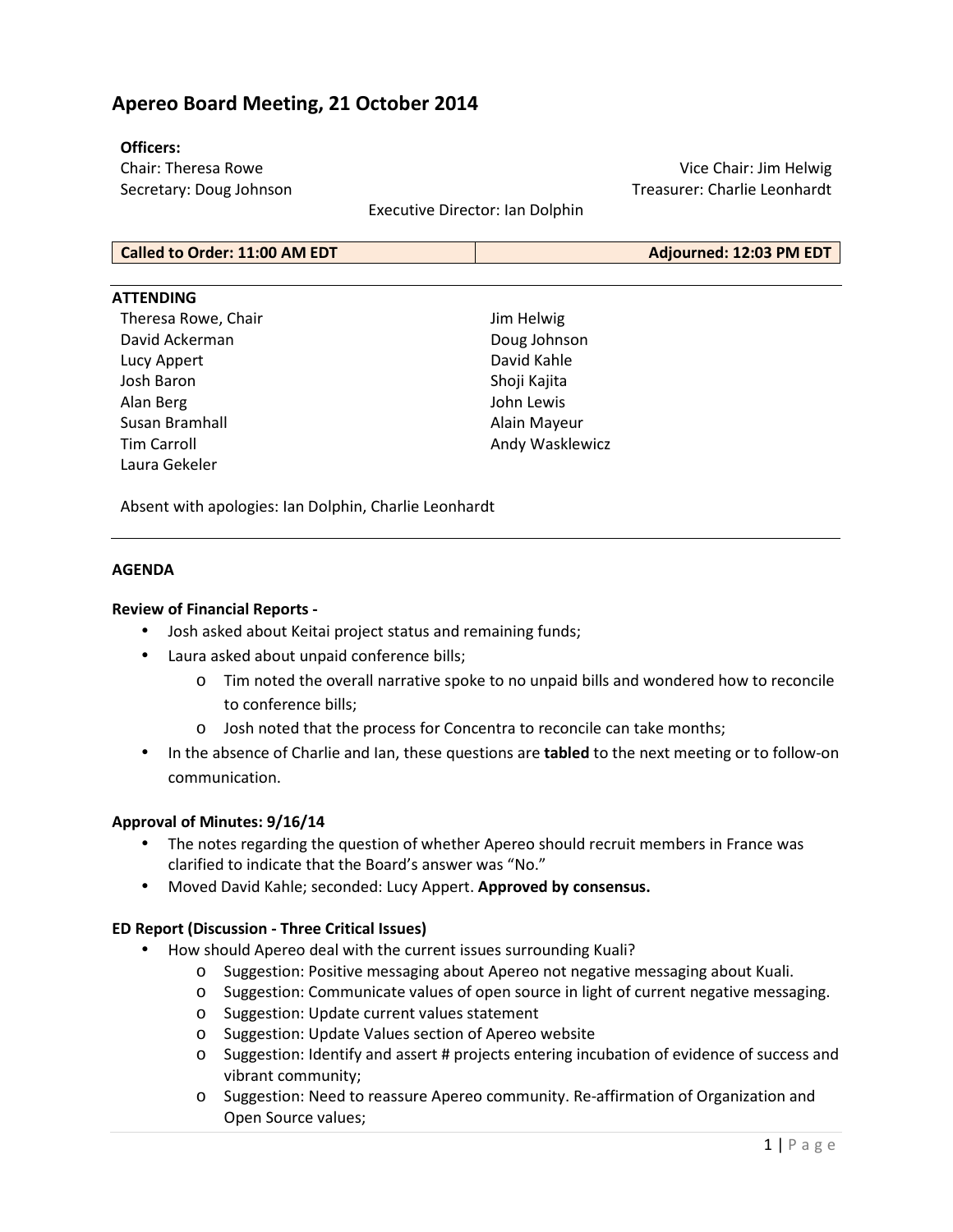# **Apereo Board Meeting, 21 October 2014**

### **Officers:**

Chair: Theresa Rowe Secretary: Doug Johnson

Vice Chair: Jim Helwig Treasurer: Charlie Leonhardt

Executive Director: Ian Dolphin

| Called to Order: 11:00 AM EDT | Adjourned: 12:03 PM EDT |
|-------------------------------|-------------------------|
|                               |                         |

### **ATTENDING**

Theresa Rowe, Chair David Ackerman Lucy Appert Josh Baron Alan Berg Susan Bramhall Tim Carroll Laura Gekeler

Jim Helwig Doug Johnson David Kahle Shoji Kajita John Lewis Alain Mayeur Andy Wasklewicz

Absent with apologies: Ian Dolphin, Charlie Leonhardt

### **AGENDA**

### **Review of Financial Reports -**

- Josh asked about Keitai project status and remaining funds;
- Laura asked about unpaid conference bills;
	- o Tim noted the overall narrative spoke to no unpaid bills and wondered how to reconcile to conference bills;
	- o Josh noted that the process for Concentra to reconcile can take months;
- In the absence of Charlie and Ian, these questions are **tabled** to the next meeting or to follow-on communication.

#### **Approval of Minutes: 9/16/14**

- The notes regarding the question of whether Apereo should recruit members in France was clarified to indicate that the Board's answer was "No."
- Moved David Kahle; seconded: Lucy Appert. **Approved by consensus.**

#### **ED Report (Discussion - Three Critical Issues)**

- How should Apereo deal with the current issues surrounding Kuali?
	- o Suggestion: Positive messaging about Apereo not negative messaging about Kuali.
	- o Suggestion: Communicate values of open source in light of current negative messaging.
	- o Suggestion: Update current values statement
	- o Suggestion: Update Values section of Apereo website
	- o Suggestion: Identify and assert # projects entering incubation of evidence of success and vibrant community;
	- o Suggestion: Need to reassure Apereo community. Re-affirmation of Organization and Open Source values;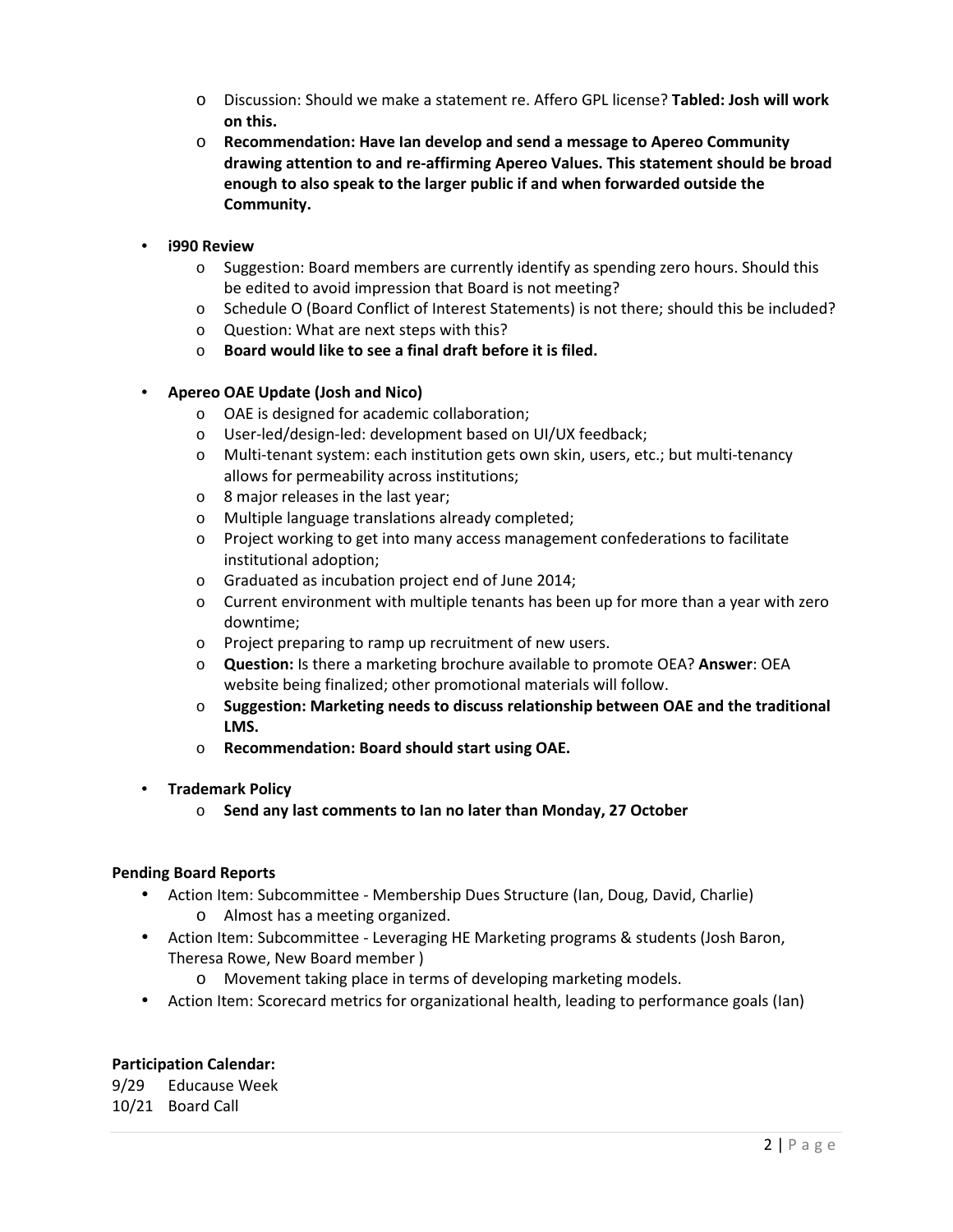- o Discussion: Should we make a statement re. Affero GPL license? **Tabled: Josh will work on this.**
- o **Recommendation: Have Ian develop and send a message to Apereo Community drawing attention to and re-affirming Apereo Values. This statement should be broad enough to also speak to the larger public if and when forwarded outside the Community.**
- **i990 Review** 
	- $\circ$  Suggestion: Board members are currently identify as spending zero hours. Should this be edited to avoid impression that Board is not meeting?
	- o Schedule O (Board Conflict of Interest Statements) is not there; should this be included?
	- o Question: What are next steps with this?
	- o **Board would like to see a final draft before it is filed.**
- **Apereo OAE Update (Josh and Nico)** 
	- o OAE is designed for academic collaboration;
	- o User-led/design-led: development based on UI/UX feedback;
	- o Multi-tenant system: each institution gets own skin, users, etc.; but multi-tenancy allows for permeability across institutions;
	- o 8 major releases in the last year;
	- o Multiple language translations already completed;
	- o Project working to get into many access management confederations to facilitate institutional adoption;
	- o Graduated as incubation project end of June 2014;
	- $\circ$  Current environment with multiple tenants has been up for more than a year with zero downtime;
	- o Project preparing to ramp up recruitment of new users.
	- o **Question:** Is there a marketing brochure available to promote OEA? **Answer**: OEA website being finalized; other promotional materials will follow.
	- o **Suggestion: Marketing needs to discuss relationship between OAE and the traditional LMS.**
	- o **Recommendation: Board should start using OAE.**
- **Trademark Policy** 
	- o **Send any last comments to Ian no later than Monday, 27 October**

### **Pending Board Reports**

- Action Item: Subcommittee Membership Dues Structure (Ian, Doug, David, Charlie) o Almost has a meeting organized.
- Action Item: Subcommittee Leveraging HE Marketing programs & students (Josh Baron, Theresa Rowe, New Board member )
	- o Movement taking place in terms of developing marketing models.
- Action Item: Scorecard metrics for organizational health, leading to performance goals (Ian)

### **Participation Calendar:**

9/29 Educause Week 10/21 Board Call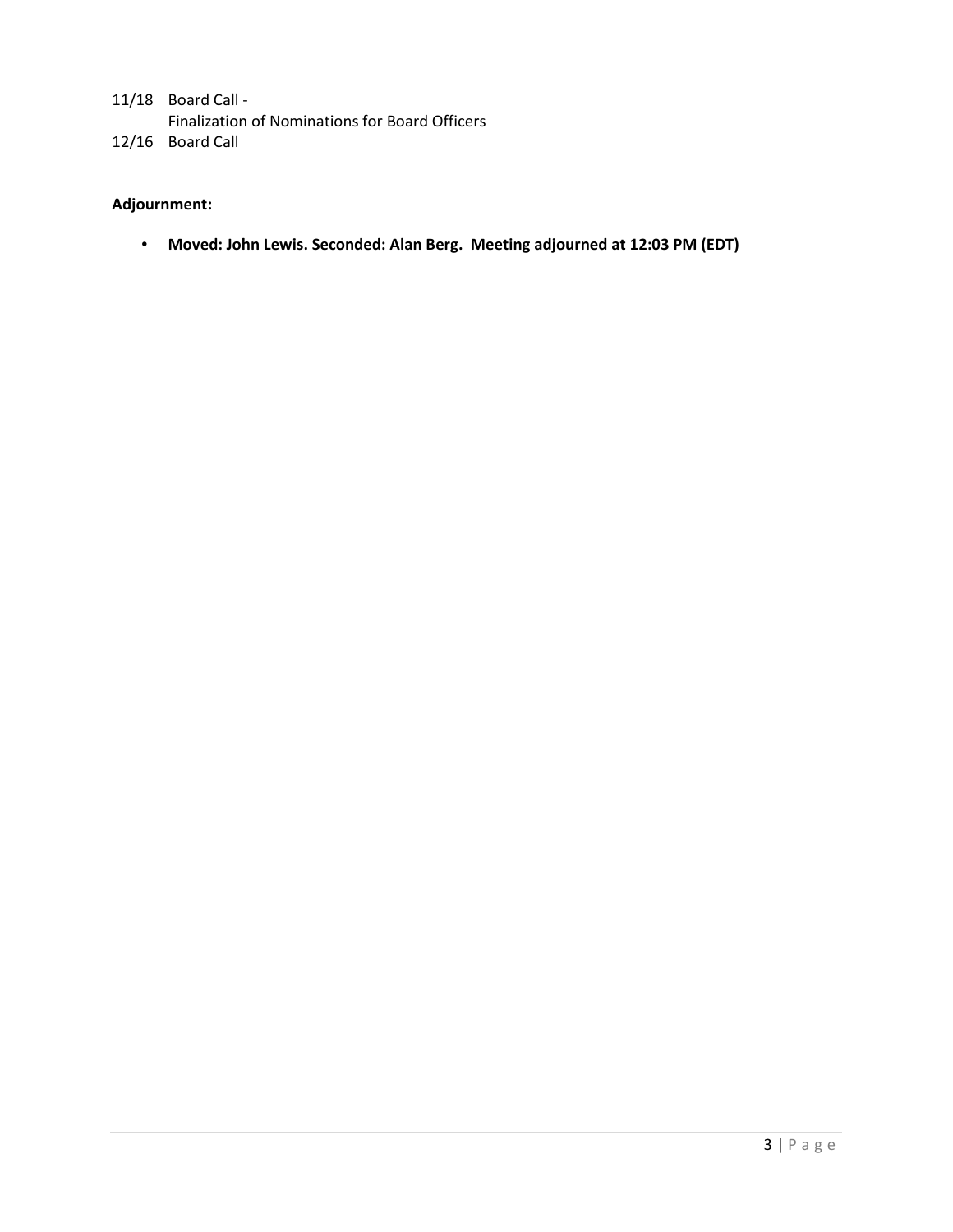11/18 Board Call - Finalization of Nominations for Board Officers 12/16 Board Call

## **Adjournment:**

• **Moved: John Lewis. Seconded: Alan Berg. Meeting adjourned at 12:03 PM (EDT)**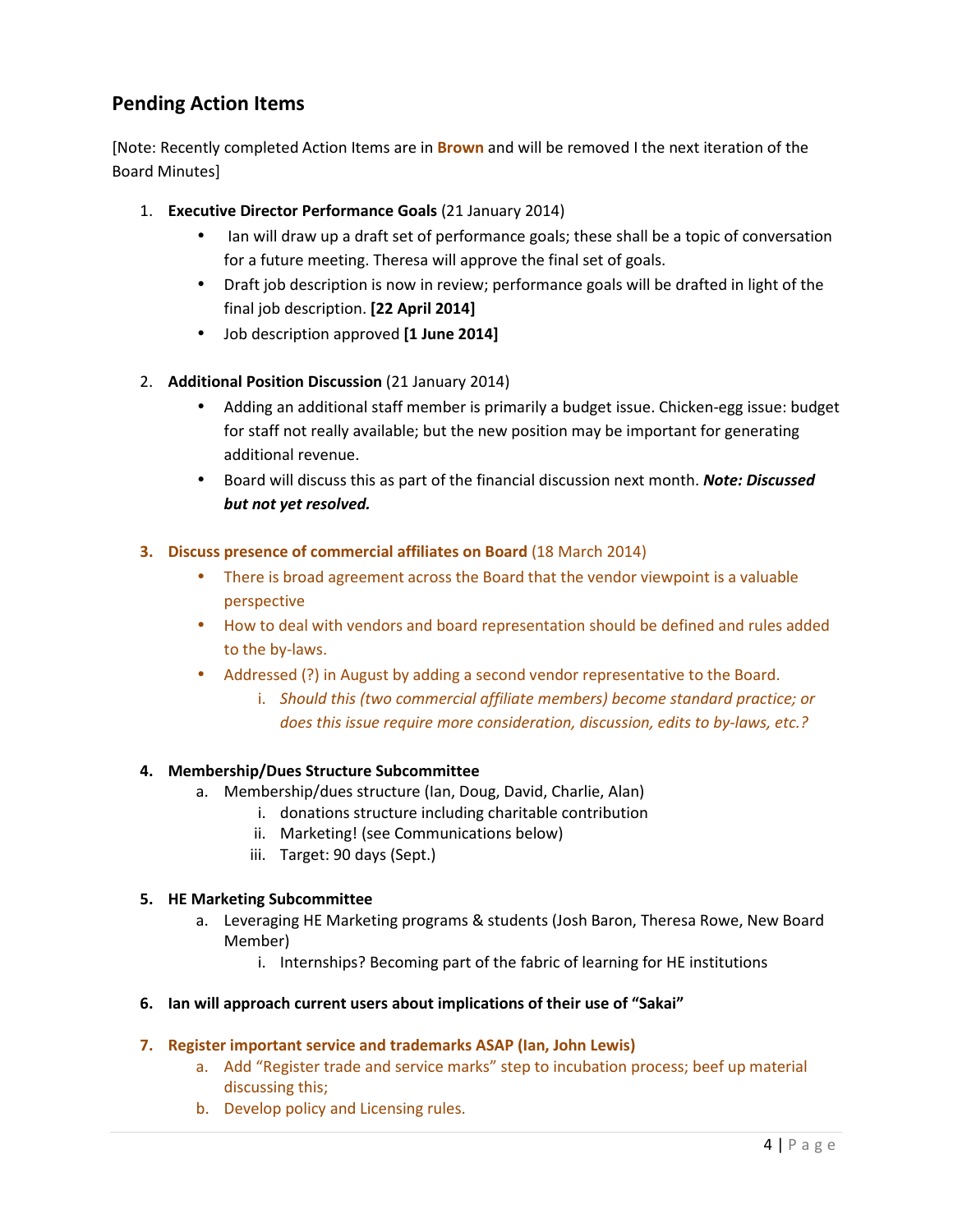# **Pending Action Items**

[Note: Recently completed Action Items are in **Brown** and will be removed I the next iteration of the Board Minutes]

- 1. **Executive Director Performance Goals** (21 January 2014)
	- Ian will draw up a draft set of performance goals; these shall be a topic of conversation for a future meeting. Theresa will approve the final set of goals.
	- Draft job description is now in review; performance goals will be drafted in light of the final job description. **[22 April 2014]**
	- Job description approved **[1 June 2014]**
- 2. **Additional Position Discussion** (21 January 2014)
	- Adding an additional staff member is primarily a budget issue. Chicken-egg issue: budget for staff not really available; but the new position may be important for generating additional revenue.
	- Board will discuss this as part of the financial discussion next month. *Note: Discussed but not yet resolved.*

## **3. Discuss presence of commercial affiliates on Board** (18 March 2014)

- There is broad agreement across the Board that the vendor viewpoint is a valuable perspective
- How to deal with vendors and board representation should be defined and rules added to the by-laws.
- Addressed (?) in August by adding a second vendor representative to the Board.
	- i. *Should this (two commercial affiliate members) become standard practice; or does this issue require more consideration, discussion, edits to by-laws, etc.?*

## **4. Membership/Dues Structure Subcommittee**

- a. Membership/dues structure (Ian, Doug, David, Charlie, Alan)
	- i. donations structure including charitable contribution
	- ii. Marketing! (see Communications below)
	- iii. Target: 90 days (Sept.)

## **5. HE Marketing Subcommittee**

- a. Leveraging HE Marketing programs & students (Josh Baron, Theresa Rowe, New Board Member)
	- i. Internships? Becoming part of the fabric of learning for HE institutions
- **6. Ian will approach current users about implications of their use of "Sakai"**

## **7. Register important service and trademarks ASAP (Ian, John Lewis)**

- a. Add "Register trade and service marks" step to incubation process; beef up material discussing this;
- b. Develop policy and Licensing rules.